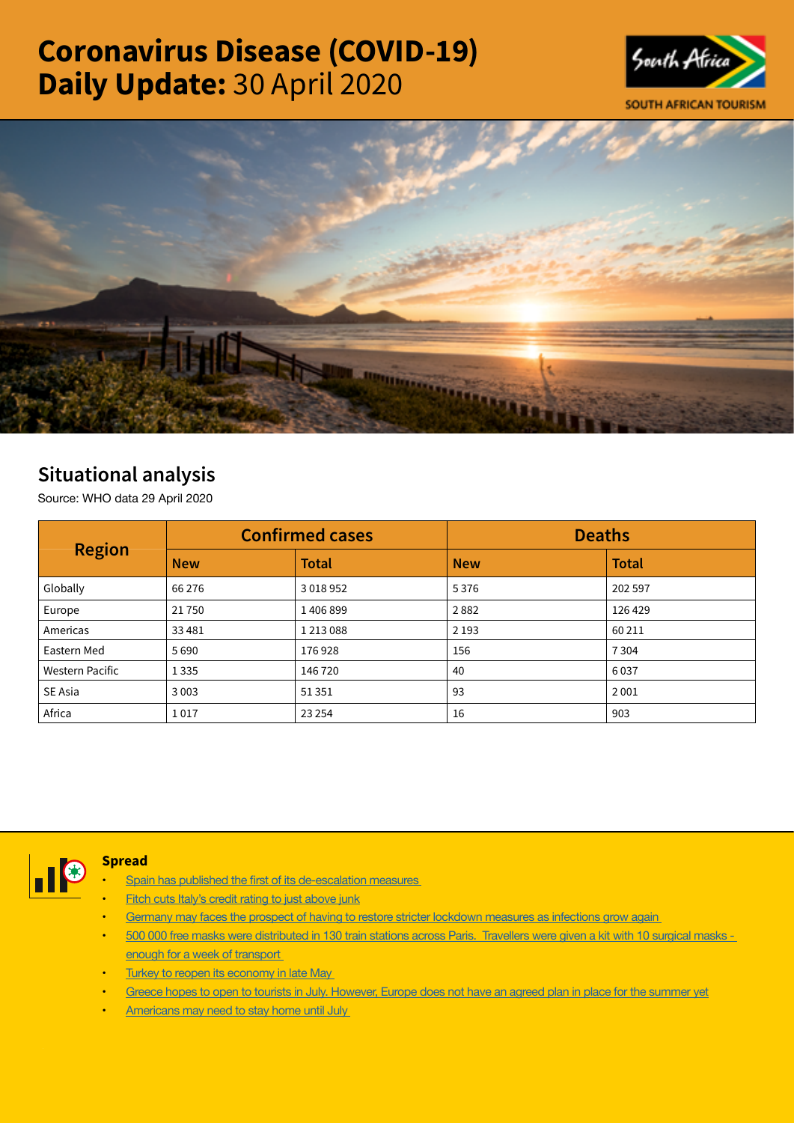# Coronavirus Disease (COVID-19) Daily Update: 30 April 2020





## Situational analysis

Source: WHO data 29 April 2020

| <b>Region</b>          | <b>Confirmed cases</b> |               | <b>Deaths</b> |              |  |
|------------------------|------------------------|---------------|---------------|--------------|--|
|                        | <b>New</b>             | <b>Total</b>  | <b>New</b>    | <b>Total</b> |  |
| Globally               | 66 276                 | 3 0 18 9 52   | 5376          | 202 597      |  |
| Europe                 | 21750                  | 1406899       | 2882          | 126 429      |  |
| Americas               | 33 4 81                | 1 2 1 3 0 8 8 | 2 1 9 3       | 60 211       |  |
| Eastern Med            | 5690                   | 176928        | 156           | 7304         |  |
| <b>Western Pacific</b> | 1 3 3 5                | 146 720       | 40            | 6037         |  |
| SE Asia                | 3 0 0 3                | 51 351        | 93            | 2001         |  |
| Africa                 | 1017                   | 23 2 54       | 16            | 903          |  |



#### **Spread**

- Spain has published the first of its [de-escalation](https://t.co/5jpu7S8f91?amp=1) measures
- [Fitch cuts Italy's credit rating to just above junk](https://t.co/vTOeo5IUId?amp=1)
- Germany may faces the prospect of having to restore stricter lockdown [measures](https://t.co/GMMskLYyBR?amp=1) as infections grow again
- 500 000 free masks were distributed in 130 train stations across [Paris. Travellers](https://t.co/6XXEdJQJuk?amp=1) were given a kit with 10 surgical masks enough for a week of [transport](https://t.co/6XXEdJQJuk?amp=1)
- Turkey to reopen its [economy](https://t.co/TeiSsZ8Hao?amp=1) in late May
- Greece hopes to open to tourists in July. [However,](https://t.co/zO9g6WG1HP?amp=1) Europe does not have an agreed plan in place for the summer yet
- [Americans](https://t.co/oKCgG8ucZm?amp=1) may need to stay home until July